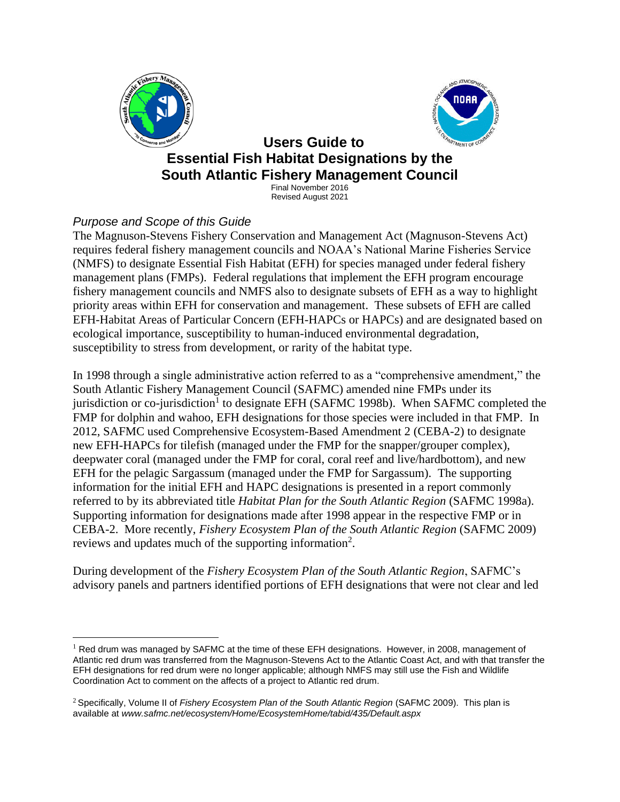



# **Users Guide to Essential Fish Habitat Designations by the South Atlantic Fishery Management Council**

Final November 2016 Revised August 2021

## *Purpose and Scope of this Guide*

The Magnuson-Stevens Fishery Conservation and Management Act (Magnuson-Stevens Act) requires federal fishery management councils and NOAA's National Marine Fisheries Service (NMFS) to designate Essential Fish Habitat (EFH) for species managed under federal fishery management plans (FMPs). Federal regulations that implement the EFH program encourage fishery management councils and NMFS also to designate subsets of EFH as a way to highlight priority areas within EFH for conservation and management. These subsets of EFH are called EFH-Habitat Areas of Particular Concern (EFH-HAPCs or HAPCs) and are designated based on ecological importance, susceptibility to human-induced environmental degradation, susceptibility to stress from development, or rarity of the habitat type.

In 1998 through a single administrative action referred to as a "comprehensive amendment," the South Atlantic Fishery Management Council (SAFMC) amended nine FMPs under its jurisdiction or co-jurisdiction<sup>1</sup> to designate EFH (SAFMC 1998b). When SAFMC completed the FMP for dolphin and wahoo, EFH designations for those species were included in that FMP. In 2012, SAFMC used Comprehensive Ecosystem-Based Amendment 2 (CEBA-2) to designate new EFH-HAPCs for tilefish (managed under the FMP for the snapper/grouper complex), deepwater coral (managed under the FMP for coral, coral reef and live/hardbottom), and new EFH for the pelagic Sargassum (managed under the FMP for Sargassum). The supporting information for the initial EFH and HAPC designations is presented in a report commonly referred to by its abbreviated title *Habitat Plan for the South Atlantic Region* (SAFMC 1998a). Supporting information for designations made after 1998 appear in the respective FMP or in CEBA-2. More recently, *Fishery Ecosystem Plan of the South Atlantic Region* (SAFMC 2009) reviews and updates much of the supporting information<sup>2</sup>.

During development of the *Fishery Ecosystem Plan of the South Atlantic Region*, SAFMC's advisory panels and partners identified portions of EFH designations that were not clear and led

 $<sup>1</sup>$  Red drum was managed by SAFMC at the time of these EFH designations. However, in 2008, management of</sup> Atlantic red drum was transferred from the Magnuson-Stevens Act to the Atlantic Coast Act, and with that transfer the EFH designations for red drum were no longer applicable; although NMFS may still use the Fish and Wildlife Coordination Act to comment on the affects of a project to Atlantic red drum.

<sup>2</sup> Specifically, Volume II of *Fishery Ecosystem Plan of the South Atlantic Region* (SAFMC 2009). This plan is available at *www.safmc.net/ecosystem/Home/EcosystemHome/tabid/435/Default.aspx*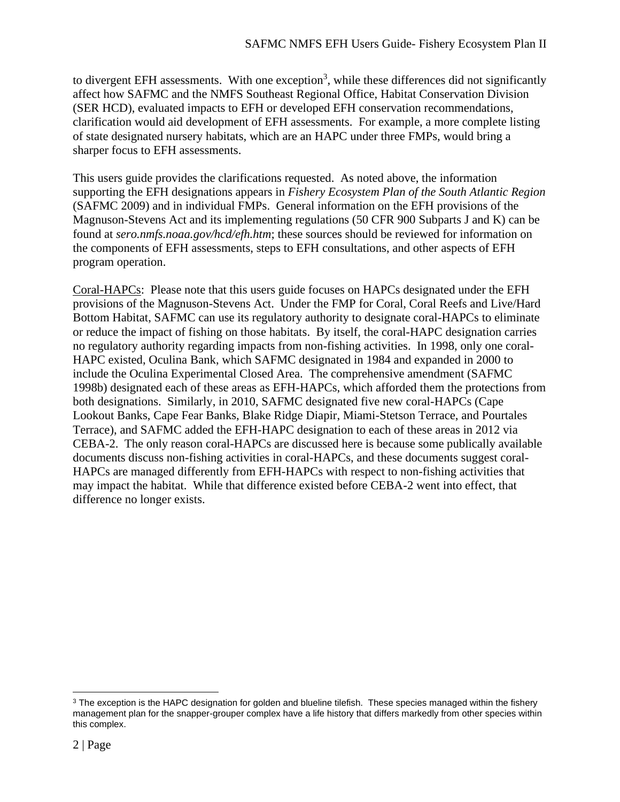to divergent EFH assessments. With one exception<sup>3</sup>, while these differences did not significantly affect how SAFMC and the NMFS Southeast Regional Office, Habitat Conservation Division (SER HCD), evaluated impacts to EFH or developed EFH conservation recommendations, clarification would aid development of EFH assessments. For example, a more complete listing of state designated nursery habitats, which are an HAPC under three FMPs, would bring a sharper focus to EFH assessments.

This users guide provides the clarifications requested. As noted above, the information supporting the EFH designations appears in *Fishery Ecosystem Plan of the South Atlantic Region* (SAFMC 2009) and in individual FMPs. General information on the EFH provisions of the Magnuson-Stevens Act and its implementing regulations (50 CFR 900 Subparts J and K) can be found at *sero.nmfs.noaa.gov/hcd/efh.htm*; these sources should be reviewed for information on the components of EFH assessments, steps to EFH consultations, and other aspects of EFH program operation.

Coral-HAPCs: Please note that this users guide focuses on HAPCs designated under the EFH provisions of the Magnuson-Stevens Act. Under the FMP for Coral, Coral Reefs and Live/Hard Bottom Habitat, SAFMC can use its regulatory authority to designate coral-HAPCs to eliminate or reduce the impact of fishing on those habitats. By itself, the coral-HAPC designation carries no regulatory authority regarding impacts from non-fishing activities. In 1998, only one coral-HAPC existed, Oculina Bank, which SAFMC designated in 1984 and expanded in 2000 to include the Oculina Experimental Closed Area. The comprehensive amendment (SAFMC 1998b) designated each of these areas as EFH-HAPCs, which afforded them the protections from both designations. Similarly, in 2010, SAFMC designated five new coral-HAPCs (Cape Lookout Banks, Cape Fear Banks, Blake Ridge Diapir, Miami-Stetson Terrace, and Pourtales Terrace), and SAFMC added the EFH-HAPC designation to each of these areas in 2012 via CEBA-2. The only reason coral-HAPCs are discussed here is because some publically available documents discuss non-fishing activities in coral-HAPCs, and these documents suggest coral-HAPCs are managed differently from EFH-HAPCs with respect to non-fishing activities that may impact the habitat. While that difference existed before CEBA-2 went into effect, that difference no longer exists.

<sup>&</sup>lt;sup>3</sup> The exception is the HAPC designation for golden and blueline tilefish. These species managed within the fishery management plan for the snapper-grouper complex have a life history that differs markedly from other species within this complex.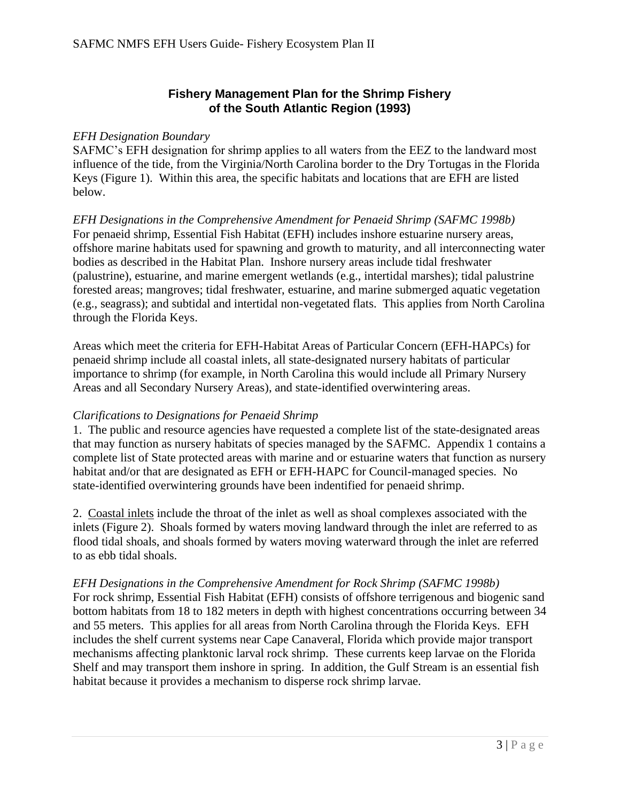### **Fishery Management Plan for the Shrimp Fishery of the South Atlantic Region (1993)**

#### *EFH Designation Boundary*

SAFMC's EFH designation for shrimp applies to all waters from the EEZ to the landward most influence of the tide, from the Virginia/North Carolina border to the Dry Tortugas in the Florida Keys (Figure 1). Within this area, the specific habitats and locations that are EFH are listed below.

*EFH Designations in the Comprehensive Amendment for Penaeid Shrimp (SAFMC 1998b)* For penaeid shrimp, Essential Fish Habitat (EFH) includes inshore estuarine nursery areas, offshore marine habitats used for spawning and growth to maturity, and all interconnecting water bodies as described in the Habitat Plan. Inshore nursery areas include tidal freshwater (palustrine), estuarine, and marine emergent wetlands (e.g., intertidal marshes); tidal palustrine forested areas; mangroves; tidal freshwater, estuarine, and marine submerged aquatic vegetation (e.g., seagrass); and subtidal and intertidal non-vegetated flats. This applies from North Carolina through the Florida Keys.

Areas which meet the criteria for EFH-Habitat Areas of Particular Concern (EFH-HAPCs) for penaeid shrimp include all coastal inlets, all state-designated nursery habitats of particular importance to shrimp (for example, in North Carolina this would include all Primary Nursery Areas and all Secondary Nursery Areas), and state-identified overwintering areas.

#### *Clarifications to Designations for Penaeid Shrimp*

1. The public and resource agencies have requested a complete list of the state-designated areas that may function as nursery habitats of species managed by the SAFMC. Appendix 1 contains a complete list of State protected areas with marine and or estuarine waters that function as nursery habitat and/or that are designated as EFH or EFH-HAPC for Council-managed species. No state-identified overwintering grounds have been indentified for penaeid shrimp.

2. Coastal inlets include the throat of the inlet as well as shoal complexes associated with the inlets (Figure 2). Shoals formed by waters moving landward through the inlet are referred to as flood tidal shoals, and shoals formed by waters moving waterward through the inlet are referred to as ebb tidal shoals.

#### *EFH Designations in the Comprehensive Amendment for Rock Shrimp (SAFMC 1998b)*

For rock shrimp, Essential Fish Habitat (EFH) consists of offshore terrigenous and biogenic sand bottom habitats from 18 to 182 meters in depth with highest concentrations occurring between 34 and 55 meters. This applies for all areas from North Carolina through the Florida Keys. EFH includes the shelf current systems near Cape Canaveral, Florida which provide major transport mechanisms affecting planktonic larval rock shrimp. These currents keep larvae on the Florida Shelf and may transport them inshore in spring. In addition, the Gulf Stream is an essential fish habitat because it provides a mechanism to disperse rock shrimp larvae.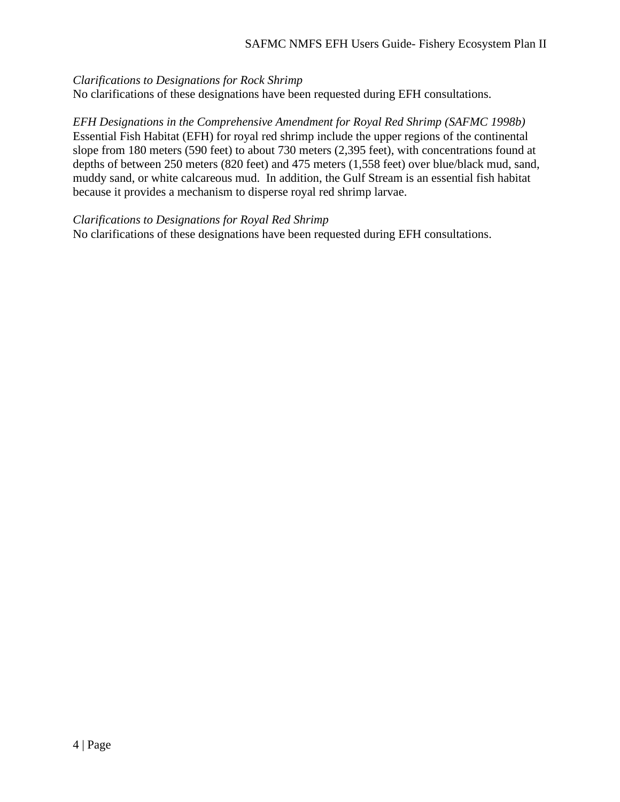#### *Clarifications to Designations for Rock Shrimp*

No clarifications of these designations have been requested during EFH consultations.

*EFH Designations in the Comprehensive Amendment for Royal Red Shrimp (SAFMC 1998b)* Essential Fish Habitat (EFH) for royal red shrimp include the upper regions of the continental slope from 180 meters (590 feet) to about 730 meters (2,395 feet), with concentrations found at depths of between 250 meters (820 feet) and 475 meters (1,558 feet) over blue/black mud, sand, muddy sand, or white calcareous mud. In addition, the Gulf Stream is an essential fish habitat because it provides a mechanism to disperse royal red shrimp larvae.

*Clarifications to Designations for Royal Red Shrimp*

No clarifications of these designations have been requested during EFH consultations.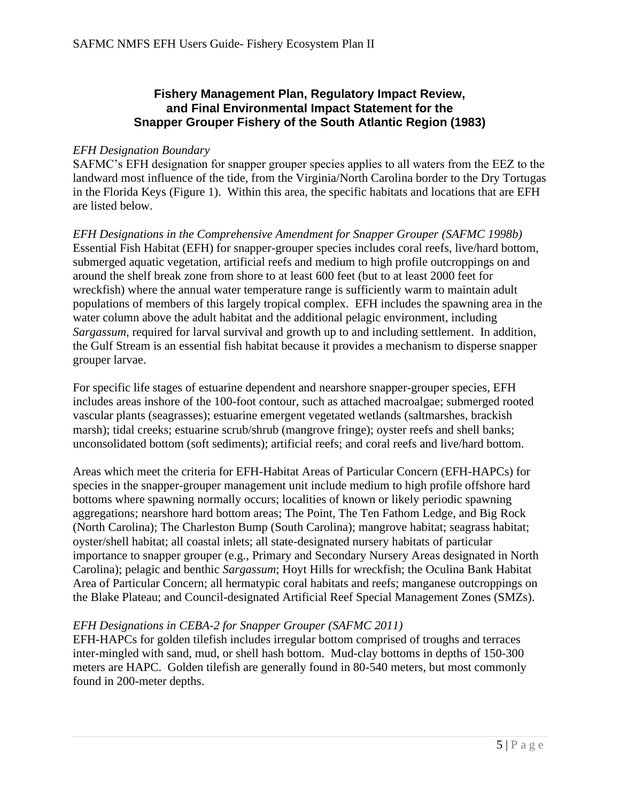#### **Fishery Management Plan, Regulatory Impact Review, and Final Environmental Impact Statement for the Snapper Grouper Fishery of the South Atlantic Region (1983)**

#### *EFH Designation Boundary*

SAFMC's EFH designation for snapper grouper species applies to all waters from the EEZ to the landward most influence of the tide, from the Virginia/North Carolina border to the Dry Tortugas in the Florida Keys (Figure 1). Within this area, the specific habitats and locations that are EFH are listed below.

*EFH Designations in the Comprehensive Amendment for Snapper Grouper (SAFMC 1998b)* Essential Fish Habitat (EFH) for snapper-grouper species includes coral reefs, live/hard bottom, submerged aquatic vegetation, artificial reefs and medium to high profile outcroppings on and around the shelf break zone from shore to at least 600 feet (but to at least 2000 feet for wreckfish) where the annual water temperature range is sufficiently warm to maintain adult populations of members of this largely tropical complex. EFH includes the spawning area in the water column above the adult habitat and the additional pelagic environment, including *Sargassum*, required for larval survival and growth up to and including settlement. In addition, the Gulf Stream is an essential fish habitat because it provides a mechanism to disperse snapper grouper larvae.

For specific life stages of estuarine dependent and nearshore snapper-grouper species, EFH includes areas inshore of the 100-foot contour, such as attached macroalgae; submerged rooted vascular plants (seagrasses); estuarine emergent vegetated wetlands (saltmarshes, brackish marsh); tidal creeks; estuarine scrub/shrub (mangrove fringe); oyster reefs and shell banks; unconsolidated bottom (soft sediments); artificial reefs; and coral reefs and live/hard bottom.

Areas which meet the criteria for EFH-Habitat Areas of Particular Concern (EFH-HAPCs) for species in the snapper-grouper management unit include medium to high profile offshore hard bottoms where spawning normally occurs; localities of known or likely periodic spawning aggregations; nearshore hard bottom areas; The Point, The Ten Fathom Ledge, and Big Rock (North Carolina); The Charleston Bump (South Carolina); mangrove habitat; seagrass habitat; oyster/shell habitat; all coastal inlets; all state-designated nursery habitats of particular importance to snapper grouper (e.g., Primary and Secondary Nursery Areas designated in North Carolina); pelagic and benthic *Sargassum*; Hoyt Hills for wreckfish; the Oculina Bank Habitat Area of Particular Concern; all hermatypic coral habitats and reefs; manganese outcroppings on the Blake Plateau; and Council-designated Artificial Reef Special Management Zones (SMZs).

#### *EFH Designations in CEBA-2 for Snapper Grouper (SAFMC 2011)*

EFH-HAPCs for golden tilefish includes irregular bottom comprised of troughs and terraces inter-mingled with sand, mud, or shell hash bottom. Mud-clay bottoms in depths of 150-300 meters are HAPC. Golden tilefish are generally found in 80-540 meters, but most commonly found in 200-meter depths.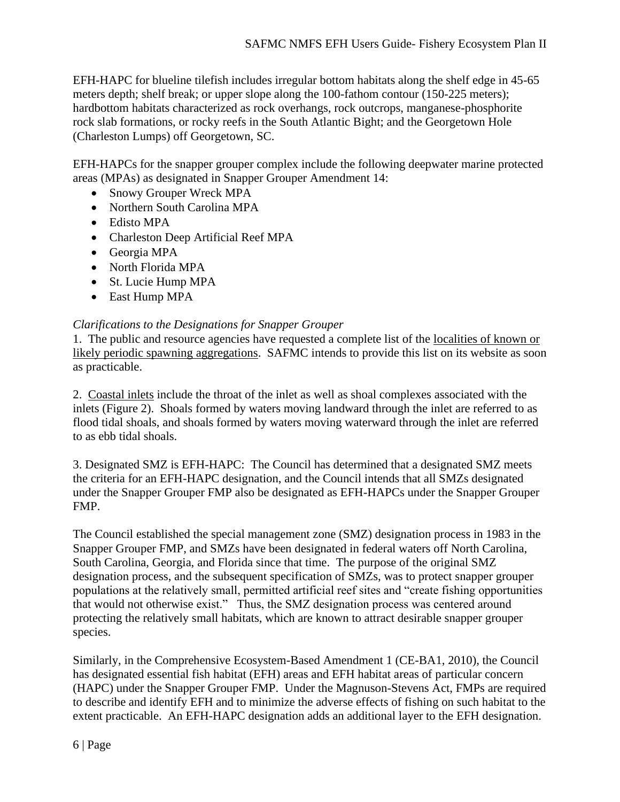EFH-HAPC for blueline tilefish includes irregular bottom habitats along the shelf edge in 45-65 meters depth; shelf break; or upper slope along the 100-fathom contour (150-225 meters); hardbottom habitats characterized as rock overhangs, rock outcrops, manganese-phosphorite rock slab formations, or rocky reefs in the South Atlantic Bight; and the Georgetown Hole (Charleston Lumps) off Georgetown, SC.

EFH-HAPCs for the snapper grouper complex include the following deepwater marine protected areas (MPAs) as designated in Snapper Grouper Amendment 14:

- Snowy Grouper Wreck MPA
- Northern South Carolina MPA
- Edisto MPA
- Charleston Deep Artificial Reef MPA
- Georgia MPA
- North Florida MPA
- St. Lucie Hump MPA
- East Hump MPA

#### *Clarifications to the Designations for Snapper Grouper*

1. The public and resource agencies have requested a complete list of the localities of known or likely periodic spawning aggregations. SAFMC intends to provide this list on its website as soon as practicable.

2. Coastal inlets include the throat of the inlet as well as shoal complexes associated with the inlets (Figure 2). Shoals formed by waters moving landward through the inlet are referred to as flood tidal shoals, and shoals formed by waters moving waterward through the inlet are referred to as ebb tidal shoals.

3. Designated SMZ is EFH-HAPC: The Council has determined that a designated SMZ meets the criteria for an EFH-HAPC designation, and the Council intends that all SMZs designated under the Snapper Grouper FMP also be designated as EFH-HAPCs under the Snapper Grouper FMP.

The Council established the special management zone (SMZ) designation process in 1983 in the Snapper Grouper FMP, and SMZs have been designated in federal waters off North Carolina, South Carolina, Georgia, and Florida since that time. The purpose of the original SMZ designation process, and the subsequent specification of SMZs, was to protect snapper grouper populations at the relatively small, permitted artificial reef sites and "create fishing opportunities that would not otherwise exist." Thus, the SMZ designation process was centered around protecting the relatively small habitats, which are known to attract desirable snapper grouper species.

Similarly, in the Comprehensive Ecosystem-Based Amendment 1 (CE-BA1, 2010), the Council has designated essential fish habitat (EFH) areas and EFH habitat areas of particular concern (HAPC) under the Snapper Grouper FMP. Under the Magnuson-Stevens Act, FMPs are required to describe and identify EFH and to minimize the adverse effects of fishing on such habitat to the extent practicable. An EFH-HAPC designation adds an additional layer to the EFH designation.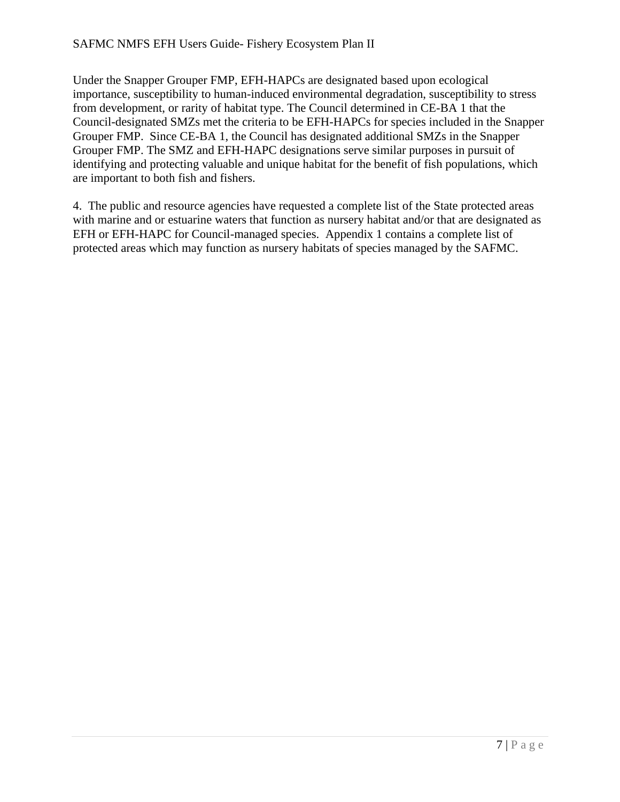Under the Snapper Grouper FMP, EFH-HAPCs are designated based upon ecological importance, susceptibility to human-induced environmental degradation, susceptibility to stress from development, or rarity of habitat type. The Council determined in CE-BA 1 that the Council-designated SMZs met the criteria to be EFH-HAPCs for species included in the Snapper Grouper FMP. Since CE-BA 1, the Council has designated additional SMZs in the Snapper Grouper FMP. The SMZ and EFH-HAPC designations serve similar purposes in pursuit of identifying and protecting valuable and unique habitat for the benefit of fish populations, which are important to both fish and fishers.

4. The public and resource agencies have requested a complete list of the State protected areas with marine and or estuarine waters that function as nursery habitat and/or that are designated as EFH or EFH-HAPC for Council-managed species. Appendix 1 contains a complete list of protected areas which may function as nursery habitats of species managed by the SAFMC.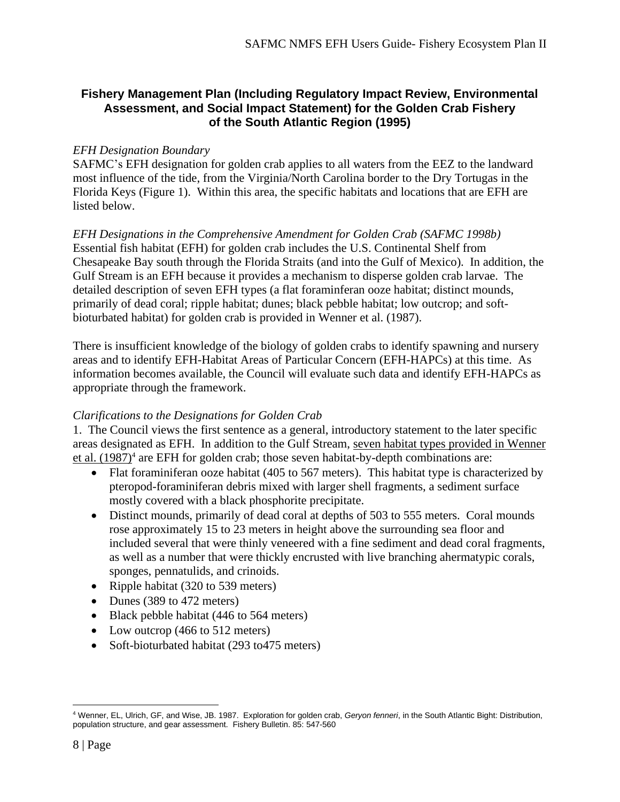### **Fishery Management Plan (Including Regulatory Impact Review, Environmental Assessment, and Social Impact Statement) for the Golden Crab Fishery of the South Atlantic Region (1995)**

#### *EFH Designation Boundary*

SAFMC's EFH designation for golden crab applies to all waters from the EEZ to the landward most influence of the tide, from the Virginia/North Carolina border to the Dry Tortugas in the Florida Keys (Figure 1). Within this area, the specific habitats and locations that are EFH are listed below.

### *EFH Designations in the Comprehensive Amendment for Golden Crab (SAFMC 1998b)*

Essential fish habitat (EFH) for golden crab includes the U.S. Continental Shelf from Chesapeake Bay south through the Florida Straits (and into the Gulf of Mexico). In addition, the Gulf Stream is an EFH because it provides a mechanism to disperse golden crab larvae. The detailed description of seven EFH types (a flat foraminferan ooze habitat; distinct mounds, primarily of dead coral; ripple habitat; dunes; black pebble habitat; low outcrop; and softbioturbated habitat) for golden crab is provided in Wenner et al. (1987).

There is insufficient knowledge of the biology of golden crabs to identify spawning and nursery areas and to identify EFH-Habitat Areas of Particular Concern (EFH-HAPCs) at this time. As information becomes available, the Council will evaluate such data and identify EFH-HAPCs as appropriate through the framework.

#### *Clarifications to the Designations for Golden Crab*

1. The Council views the first sentence as a general, introductory statement to the later specific areas designated as EFH. In addition to the Gulf Stream, seven habitat types provided in Wenner et al.  $(1987)^4$  are EFH for golden crab; those seven habitat-by-depth combinations are:

- Flat foraminiferan ooze habitat (405 to 567 meters). This habitat type is characterized by pteropod-foraminiferan debris mixed with larger shell fragments, a sediment surface mostly covered with a black phosphorite precipitate.
- Distinct mounds, primarily of dead coral at depths of 503 to 555 meters. Coral mounds rose approximately 15 to 23 meters in height above the surrounding sea floor and included several that were thinly veneered with a fine sediment and dead coral fragments, as well as a number that were thickly encrusted with live branching ahermatypic corals, sponges, pennatulids, and crinoids.
- Ripple habitat (320 to 539 meters)
- Dunes (389 to 472 meters)
- Black pebble habitat (446 to 564 meters)
- Low outcrop (466 to 512 meters)
- Soft-bioturbated habitat (293 to 475 meters)

<sup>4</sup> Wenner, EL, Ulrich, GF, and Wise, JB. 1987. Exploration for golden crab, *Geryon fenneri*, in the South Atlantic Bight: Distribution, population structure, and gear assessment. Fishery Bulletin. 85: 547-560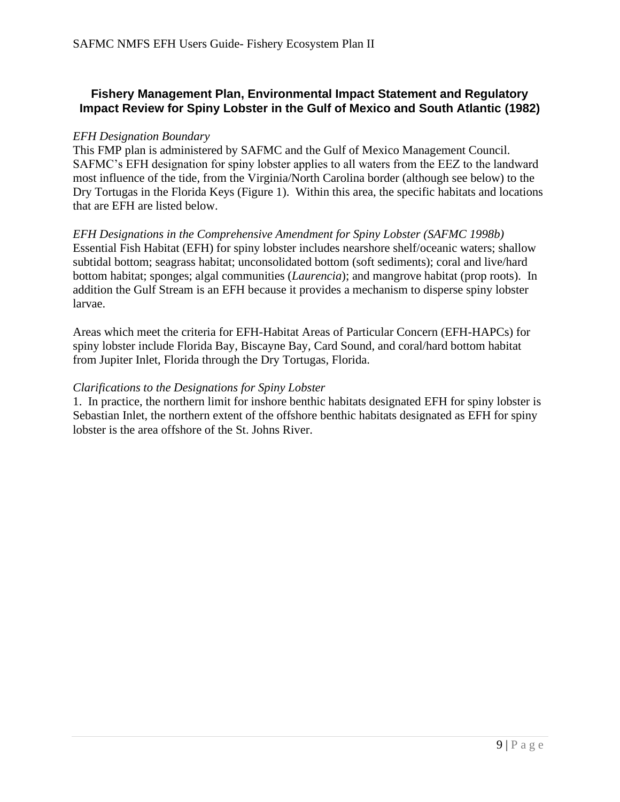### **Fishery Management Plan, Environmental Impact Statement and Regulatory Impact Review for Spiny Lobster in the Gulf of Mexico and South Atlantic (1982)**

#### *EFH Designation Boundary*

This FMP plan is administered by SAFMC and the Gulf of Mexico Management Council. SAFMC's EFH designation for spiny lobster applies to all waters from the EEZ to the landward most influence of the tide, from the Virginia/North Carolina border (although see below) to the Dry Tortugas in the Florida Keys (Figure 1). Within this area, the specific habitats and locations that are EFH are listed below.

*EFH Designations in the Comprehensive Amendment for Spiny Lobster (SAFMC 1998b)* Essential Fish Habitat (EFH) for spiny lobster includes nearshore shelf/oceanic waters; shallow subtidal bottom; seagrass habitat; unconsolidated bottom (soft sediments); coral and live/hard bottom habitat; sponges; algal communities (*Laurencia*); and mangrove habitat (prop roots). In addition the Gulf Stream is an EFH because it provides a mechanism to disperse spiny lobster larvae.

Areas which meet the criteria for EFH-Habitat Areas of Particular Concern (EFH-HAPCs) for spiny lobster include Florida Bay, Biscayne Bay, Card Sound, and coral/hard bottom habitat from Jupiter Inlet, Florida through the Dry Tortugas, Florida.

#### *Clarifications to the Designations for Spiny Lobster*

1. In practice, the northern limit for inshore benthic habitats designated EFH for spiny lobster is Sebastian Inlet, the northern extent of the offshore benthic habitats designated as EFH for spiny lobster is the area offshore of the St. Johns River.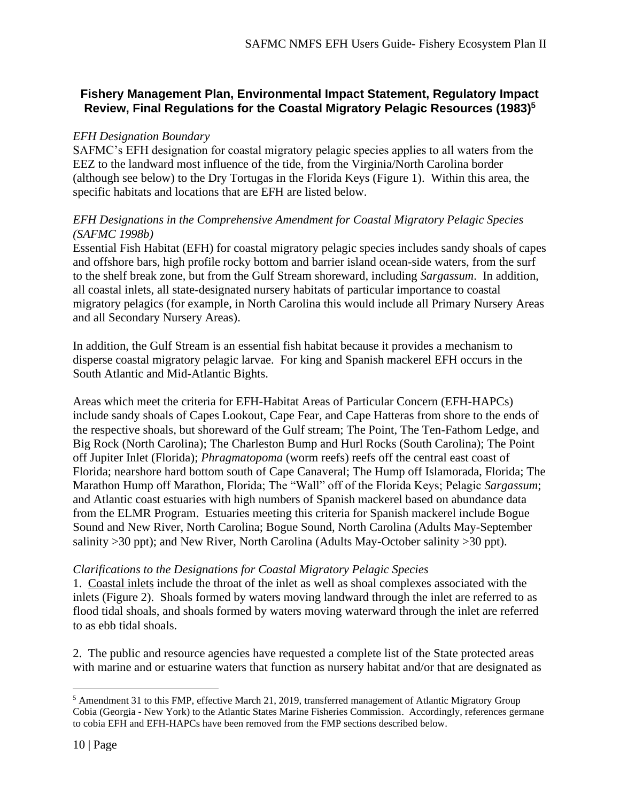### **Fishery Management Plan, Environmental Impact Statement, Regulatory Impact Review, Final Regulations for the Coastal Migratory Pelagic Resources (1983)<sup>5</sup>**

#### *EFH Designation Boundary*

SAFMC's EFH designation for coastal migratory pelagic species applies to all waters from the EEZ to the landward most influence of the tide, from the Virginia/North Carolina border (although see below) to the Dry Tortugas in the Florida Keys (Figure 1). Within this area, the specific habitats and locations that are EFH are listed below.

#### *EFH Designations in the Comprehensive Amendment for Coastal Migratory Pelagic Species (SAFMC 1998b)*

Essential Fish Habitat (EFH) for coastal migratory pelagic species includes sandy shoals of capes and offshore bars, high profile rocky bottom and barrier island ocean-side waters, from the surf to the shelf break zone, but from the Gulf Stream shoreward, including *Sargassum*. In addition, all coastal inlets, all state-designated nursery habitats of particular importance to coastal migratory pelagics (for example, in North Carolina this would include all Primary Nursery Areas and all Secondary Nursery Areas).

In addition, the Gulf Stream is an essential fish habitat because it provides a mechanism to disperse coastal migratory pelagic larvae. For king and Spanish mackerel EFH occurs in the South Atlantic and Mid-Atlantic Bights.

Areas which meet the criteria for EFH-Habitat Areas of Particular Concern (EFH-HAPCs) include sandy shoals of Capes Lookout, Cape Fear, and Cape Hatteras from shore to the ends of the respective shoals, but shoreward of the Gulf stream; The Point, The Ten-Fathom Ledge, and Big Rock (North Carolina); The Charleston Bump and Hurl Rocks (South Carolina); The Point off Jupiter Inlet (Florida); *Phragmatopoma* (worm reefs) reefs off the central east coast of Florida; nearshore hard bottom south of Cape Canaveral; The Hump off Islamorada, Florida; The Marathon Hump off Marathon, Florida; The "Wall" off of the Florida Keys; Pelagic *Sargassum*; and Atlantic coast estuaries with high numbers of Spanish mackerel based on abundance data from the ELMR Program. Estuaries meeting this criteria for Spanish mackerel include Bogue Sound and New River, North Carolina; Bogue Sound, North Carolina (Adults May-September salinity >30 ppt); and New River, North Carolina (Adults May-October salinity >30 ppt).

#### *Clarifications to the Designations for Coastal Migratory Pelagic Species*

1. Coastal inlets include the throat of the inlet as well as shoal complexes associated with the inlets (Figure 2). Shoals formed by waters moving landward through the inlet are referred to as flood tidal shoals, and shoals formed by waters moving waterward through the inlet are referred to as ebb tidal shoals.

2. The public and resource agencies have requested a complete list of the State protected areas with marine and or estuarine waters that function as nursery habitat and/or that are designated as

<sup>5</sup> Amendment 31 to this FMP, effective March 21, 2019, transferred management of Atlantic Migratory Group Cobia (Georgia - New York) to the Atlantic States Marine Fisheries Commission. Accordingly, references germane to cobia EFH and EFH-HAPCs have been removed from the FMP sections described below.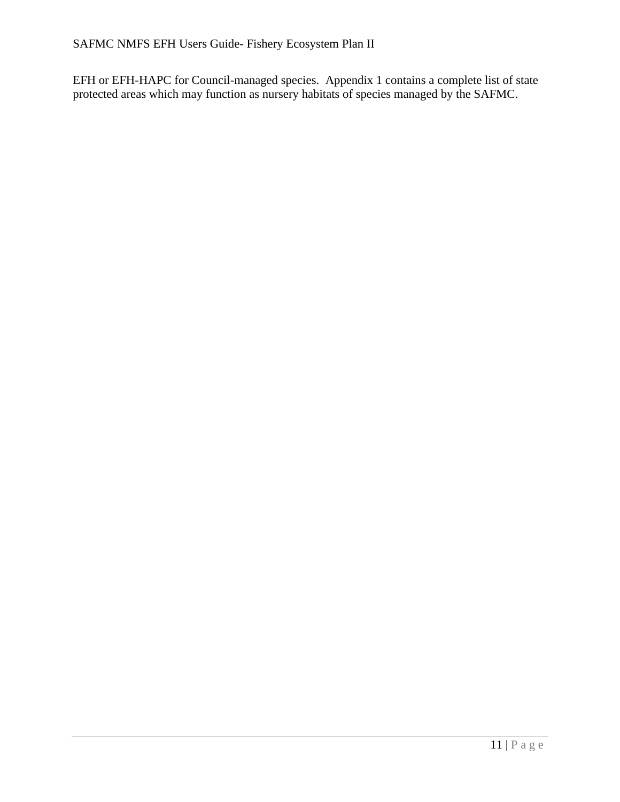EFH or EFH-HAPC for Council-managed species. Appendix 1 contains a complete list of state protected areas which may function as nursery habitats of species managed by the SAFMC.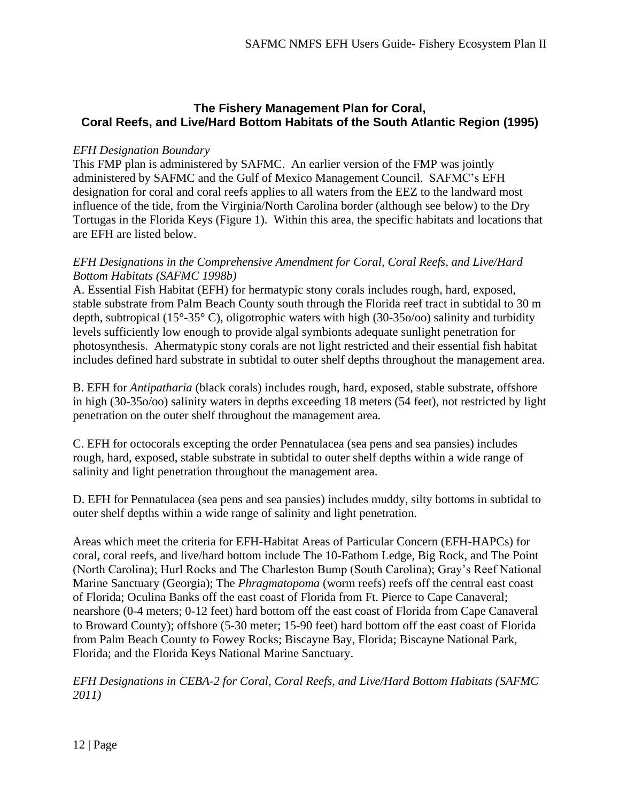### **The Fishery Management Plan for Coral, Coral Reefs, and Live/Hard Bottom Habitats of the South Atlantic Region (1995)**

#### *EFH Designation Boundary*

This FMP plan is administered by SAFMC. An earlier version of the FMP was jointly administered by SAFMC and the Gulf of Mexico Management Council. SAFMC's EFH designation for coral and coral reefs applies to all waters from the EEZ to the landward most influence of the tide, from the Virginia/North Carolina border (although see below) to the Dry Tortugas in the Florida Keys (Figure 1). Within this area, the specific habitats and locations that are EFH are listed below.

#### *EFH Designations in the Comprehensive Amendment for Coral, Coral Reefs, and Live/Hard Bottom Habitats (SAFMC 1998b)*

A. Essential Fish Habitat (EFH) for hermatypic stony corals includes rough, hard, exposed, stable substrate from Palm Beach County south through the Florida reef tract in subtidal to 30 m depth, subtropical (15**°**-35**°** C), oligotrophic waters with high (30-35o/oo) salinity and turbidity levels sufficiently low enough to provide algal symbionts adequate sunlight penetration for photosynthesis. Ahermatypic stony corals are not light restricted and their essential fish habitat includes defined hard substrate in subtidal to outer shelf depths throughout the management area.

B. EFH for *Antipatharia* (black corals) includes rough, hard, exposed, stable substrate, offshore in high (30-35o/oo) salinity waters in depths exceeding 18 meters (54 feet), not restricted by light penetration on the outer shelf throughout the management area.

C. EFH for octocorals excepting the order Pennatulacea (sea pens and sea pansies) includes rough, hard, exposed, stable substrate in subtidal to outer shelf depths within a wide range of salinity and light penetration throughout the management area.

D. EFH for Pennatulacea (sea pens and sea pansies) includes muddy, silty bottoms in subtidal to outer shelf depths within a wide range of salinity and light penetration.

Areas which meet the criteria for EFH-Habitat Areas of Particular Concern (EFH-HAPCs) for coral, coral reefs, and live/hard bottom include The 10-Fathom Ledge, Big Rock, and The Point (North Carolina); Hurl Rocks and The Charleston Bump (South Carolina); Gray's Reef National Marine Sanctuary (Georgia); The *Phragmatopoma* (worm reefs) reefs off the central east coast of Florida; Oculina Banks off the east coast of Florida from Ft. Pierce to Cape Canaveral; nearshore (0-4 meters; 0-12 feet) hard bottom off the east coast of Florida from Cape Canaveral to Broward County); offshore (5-30 meter; 15-90 feet) hard bottom off the east coast of Florida from Palm Beach County to Fowey Rocks; Biscayne Bay, Florida; Biscayne National Park, Florida; and the Florida Keys National Marine Sanctuary.

*EFH Designations in CEBA-2 for Coral, Coral Reefs, and Live/Hard Bottom Habitats (SAFMC 2011)*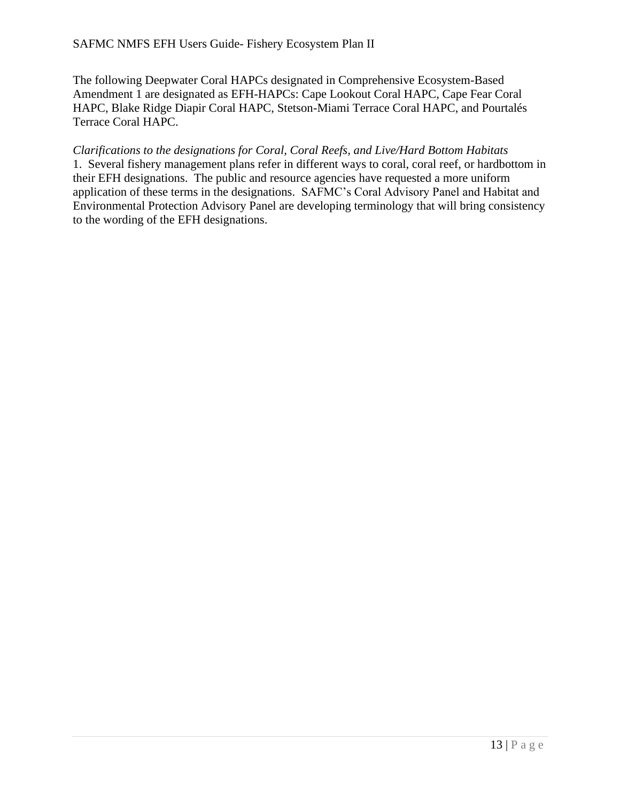The following Deepwater Coral HAPCs designated in Comprehensive Ecosystem-Based Amendment 1 are designated as EFH-HAPCs: Cape Lookout Coral HAPC, Cape Fear Coral HAPC, Blake Ridge Diapir Coral HAPC, Stetson-Miami Terrace Coral HAPC, and Pourtalés Terrace Coral HAPC.

*Clarifications to the designations for Coral, Coral Reefs, and Live/Hard Bottom Habitats* 1. Several fishery management plans refer in different ways to coral, coral reef, or hardbottom in their EFH designations. The public and resource agencies have requested a more uniform application of these terms in the designations. SAFMC's Coral Advisory Panel and Habitat and Environmental Protection Advisory Panel are developing terminology that will bring consistency to the wording of the EFH designations.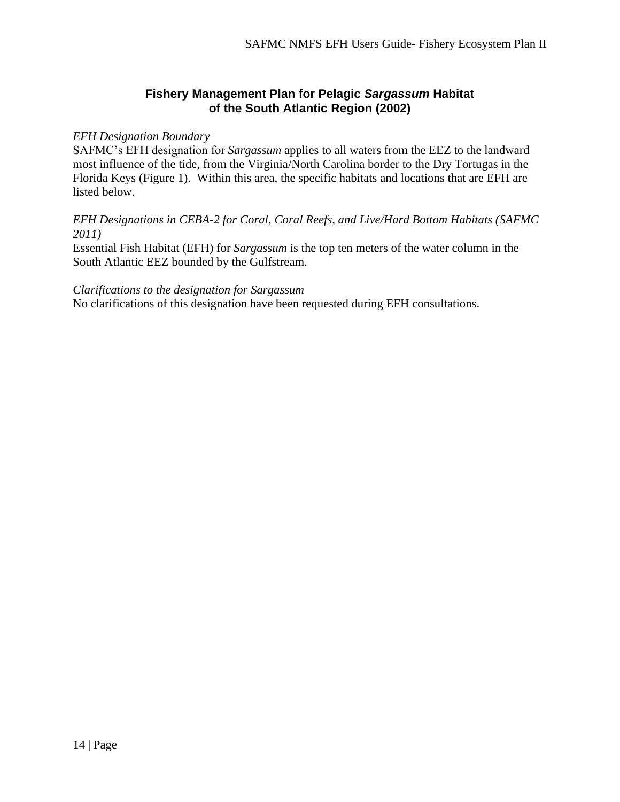### **Fishery Management Plan for Pelagic** *Sargassum* **Habitat of the South Atlantic Region (2002)**

#### *EFH Designation Boundary*

SAFMC's EFH designation for *Sargassum* applies to all waters from the EEZ to the landward most influence of the tide, from the Virginia/North Carolina border to the Dry Tortugas in the Florida Keys (Figure 1). Within this area, the specific habitats and locations that are EFH are listed below.

#### *EFH Designations in CEBA-2 for Coral, Coral Reefs, and Live/Hard Bottom Habitats (SAFMC 2011)*

Essential Fish Habitat (EFH) for *Sargassum* is the top ten meters of the water column in the South Atlantic EEZ bounded by the Gulfstream.

#### *Clarifications to the designation for Sargassum*

No clarifications of this designation have been requested during EFH consultations.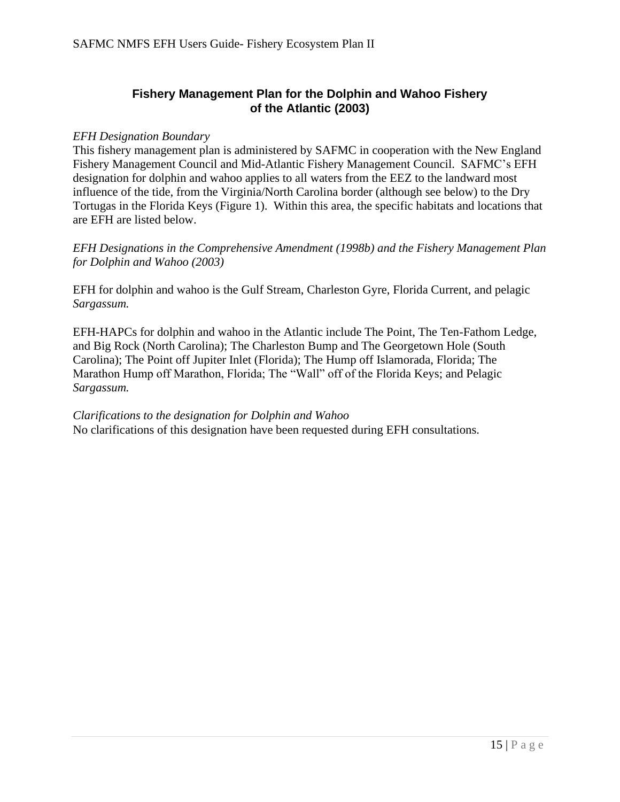### **Fishery Management Plan for the Dolphin and Wahoo Fishery of the Atlantic (2003)**

#### *EFH Designation Boundary*

This fishery management plan is administered by SAFMC in cooperation with the New England Fishery Management Council and Mid-Atlantic Fishery Management Council. SAFMC's EFH designation for dolphin and wahoo applies to all waters from the EEZ to the landward most influence of the tide, from the Virginia/North Carolina border (although see below) to the Dry Tortugas in the Florida Keys (Figure 1). Within this area, the specific habitats and locations that are EFH are listed below.

*EFH Designations in the Comprehensive Amendment (1998b) and the Fishery Management Plan for Dolphin and Wahoo (2003)*

EFH for dolphin and wahoo is the Gulf Stream, Charleston Gyre, Florida Current, and pelagic *Sargassum.*

EFH-HAPCs for dolphin and wahoo in the Atlantic include The Point, The Ten-Fathom Ledge, and Big Rock (North Carolina); The Charleston Bump and The Georgetown Hole (South Carolina); The Point off Jupiter Inlet (Florida); The Hump off Islamorada, Florida; The Marathon Hump off Marathon, Florida; The "Wall" off of the Florida Keys; and Pelagic *Sargassum.*

#### *Clarifications to the designation for Dolphin and Wahoo* No clarifications of this designation have been requested during EFH consultations.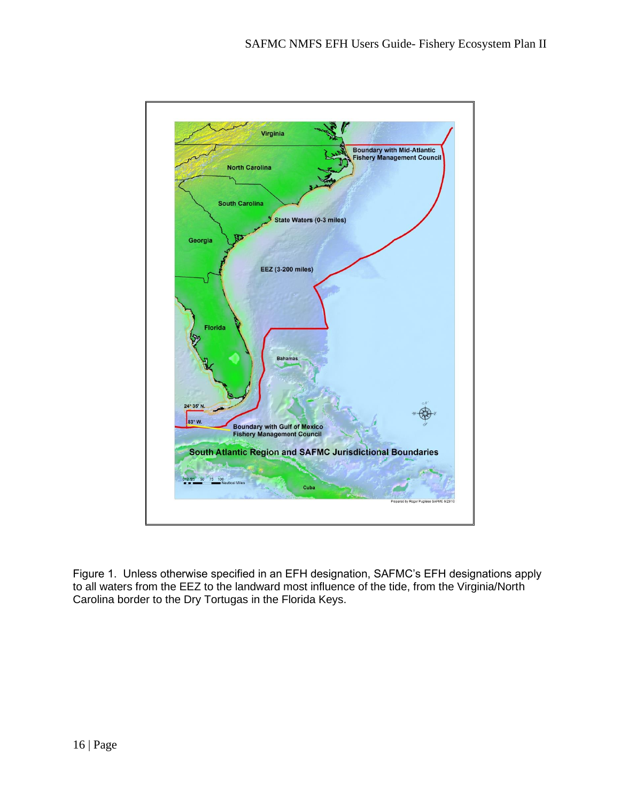

Figure 1. Unless otherwise specified in an EFH designation, SAFMC's EFH designations apply to all waters from the EEZ to the landward most influence of the tide, from the Virginia/North Carolina border to the Dry Tortugas in the Florida Keys.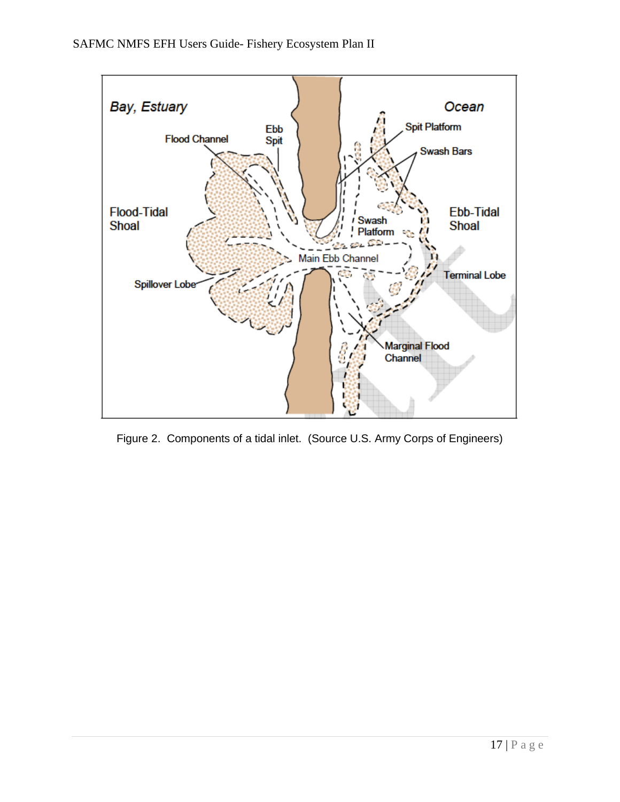

Figure 2. Components of a tidal inlet. (Source U.S. Army Corps of Engineers)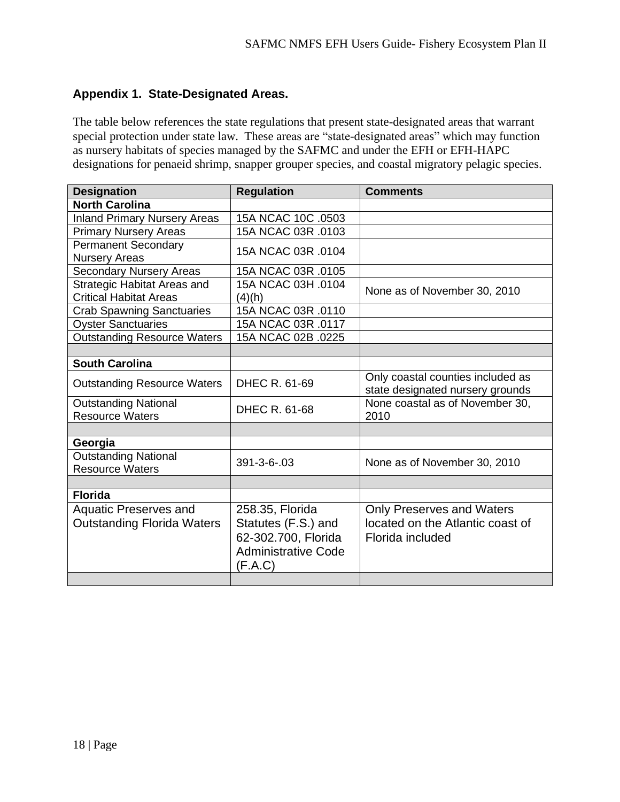### **Appendix 1. State-Designated Areas.**

The table below references the state regulations that present state-designated areas that warrant special protection under state law. These areas are "state-designated areas" which may function as nursery habitats of species managed by the SAFMC and under the EFH or EFH-HAPC designations for penaeid shrimp, snapper grouper species, and coastal migratory pelagic species.

| <b>Designation</b>                  | <b>Regulation</b>          | <b>Comments</b>                                                       |
|-------------------------------------|----------------------------|-----------------------------------------------------------------------|
| <b>North Carolina</b>               |                            |                                                                       |
| <b>Inland Primary Nursery Areas</b> | 15A NCAC 10C .0503         |                                                                       |
| <b>Primary Nursery Areas</b>        | 15A NCAC 03R .0103         |                                                                       |
| <b>Permanent Secondary</b>          | 15A NCAC 03R .0104         |                                                                       |
| <b>Nursery Areas</b>                |                            |                                                                       |
| <b>Secondary Nursery Areas</b>      | 15A NCAC 03R .0105         |                                                                       |
| <b>Strategic Habitat Areas and</b>  | 15A NCAC 03H .0104         | None as of November 30, 2010                                          |
| <b>Critical Habitat Areas</b>       | (4)(h)                     |                                                                       |
| <b>Crab Spawning Sanctuaries</b>    | 15A NCAC 03R .0110         |                                                                       |
| <b>Oyster Sanctuaries</b>           | 15A NCAC 03R .0117         |                                                                       |
| <b>Outstanding Resource Waters</b>  | 15A NCAC 02B .0225         |                                                                       |
|                                     |                            |                                                                       |
| <b>South Carolina</b>               |                            |                                                                       |
| <b>Outstanding Resource Waters</b>  | DHEC R. 61-69              | Only coastal counties included as<br>state designated nursery grounds |
| <b>Outstanding National</b>         | DHEC R. 61-68              | None coastal as of November 30,                                       |
| <b>Resource Waters</b>              |                            | 2010                                                                  |
|                                     |                            |                                                                       |
| Georgia                             |                            |                                                                       |
| <b>Outstanding National</b>         | $391 - 3 - 6 - 03$         | None as of November 30, 2010                                          |
| <b>Resource Waters</b>              |                            |                                                                       |
|                                     |                            |                                                                       |
| <b>Florida</b>                      |                            |                                                                       |
| <b>Aquatic Preserves and</b>        | 258.35, Florida            | <b>Only Preserves and Waters</b>                                      |
| <b>Outstanding Florida Waters</b>   | Statutes (F.S.) and        | located on the Atlantic coast of                                      |
|                                     | 62-302.700, Florida        | Florida included                                                      |
|                                     | <b>Administrative Code</b> |                                                                       |
|                                     | (F.A.C)                    |                                                                       |
|                                     |                            |                                                                       |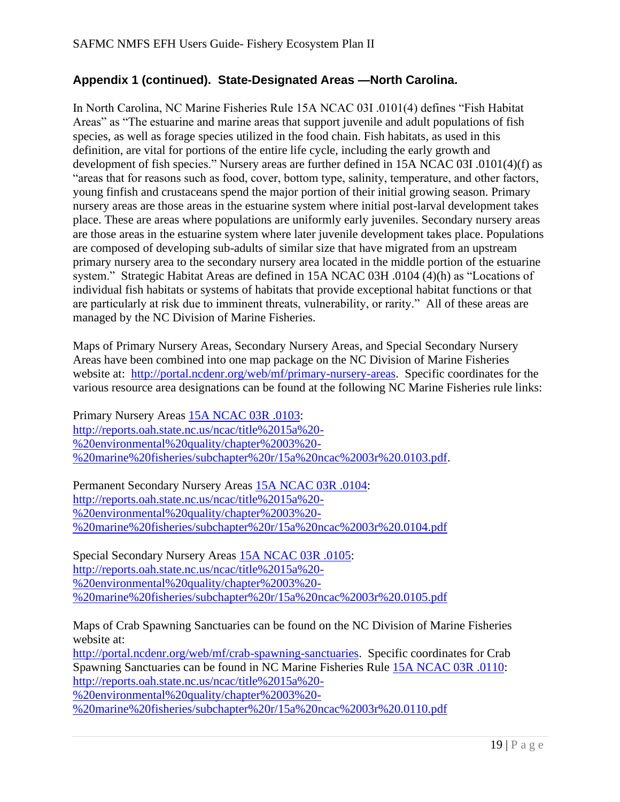### **Appendix 1 (continued). State-Designated Areas —North Carolina.**

In North Carolina, NC Marine Fisheries Rule 15A NCAC 03I .0101(4) defines "Fish Habitat Areas" as "The estuarine and marine areas that support juvenile and adult populations of fish species, as well as forage species utilized in the food chain. Fish habitats, as used in this definition, are vital for portions of the entire life cycle, including the early growth and development of fish species." Nursery areas are further defined in 15A NCAC 03I .0101(4)(f) as "areas that for reasons such as food, cover, bottom type, salinity, temperature, and other factors, young finfish and crustaceans spend the major portion of their initial growing season. Primary nursery areas are those areas in the estuarine system where initial post-larval development takes place. These are areas where populations are uniformly early juveniles. Secondary nursery areas are those areas in the estuarine system where later juvenile development takes place. Populations are composed of developing sub-adults of similar size that have migrated from an upstream primary nursery area to the secondary nursery area located in the middle portion of the estuarine system." Strategic Habitat Areas are defined in 15A NCAC 03H .0104 (4)(h) as "Locations of individual fish habitats or systems of habitats that provide exceptional habitat functions or that are particularly at risk due to imminent threats, vulnerability, or rarity." All of these areas are managed by the NC Division of Marine Fisheries.

Maps of Primary Nursery Areas, Secondary Nursery Areas, and Special Secondary Nursery Areas have been combined into one map package on the NC Division of Marine Fisheries website at: [http://portal.ncdenr.org/web/mf/primary-nursery-areas.](http://portal.ncdenr.org/web/mf/primary-nursery-areas) Specific coordinates for the various resource area designations can be found at the following NC Marine Fisheries rule links:

Primary Nursery Areas [15A NCAC 03R .0103:](http://reports.oah.state.nc.us/ncac/title%2015a%20-%20environmental%20quality/chapter%2003%20-%20marine%20fisheries/subchapter%20r/15a%20ncac%2003r%20.0103.pdf) [http://reports.oah.state.nc.us/ncac/title%2015a%20-](http://reports.oah.state.nc.us/ncac/title%2015a%20-%20environmental%20quality/chapter%2003%20-%20marine%20fisheries/subchapter%20r/15a%20ncac%2003r%20.0103.pdf) [%20environmental%20quality/chapter%2003%20-](http://reports.oah.state.nc.us/ncac/title%2015a%20-%20environmental%20quality/chapter%2003%20-%20marine%20fisheries/subchapter%20r/15a%20ncac%2003r%20.0103.pdf) [%20marine%20fisheries/subchapter%20r/15a%20ncac%2003r%20.0103.pdf.](http://reports.oah.state.nc.us/ncac/title%2015a%20-%20environmental%20quality/chapter%2003%20-%20marine%20fisheries/subchapter%20r/15a%20ncac%2003r%20.0103.pdf)

Permanent Secondary Nursery Areas [15A NCAC 03R .0104:](http://reports.oah.state.nc.us/ncac/title%2015a%20-%20environmental%20quality/chapter%2003%20-%20marine%20fisheries/subchapter%20r/15a%20ncac%2003r%20.0104.pdf) [http://reports.oah.state.nc.us/ncac/title%2015a%20-](http://reports.oah.state.nc.us/ncac/title%2015a%20-%20environmental%20quality/chapter%2003%20-%20marine%20fisheries/subchapter%20r/15a%20ncac%2003r%20.0104.pdf) [%20environmental%20quality/chapter%2003%20-](http://reports.oah.state.nc.us/ncac/title%2015a%20-%20environmental%20quality/chapter%2003%20-%20marine%20fisheries/subchapter%20r/15a%20ncac%2003r%20.0104.pdf) [%20marine%20fisheries/subchapter%20r/15a%20ncac%2003r%20.0104.pdf](http://reports.oah.state.nc.us/ncac/title%2015a%20-%20environmental%20quality/chapter%2003%20-%20marine%20fisheries/subchapter%20r/15a%20ncac%2003r%20.0104.pdf)

Special Secondary Nursery Areas [15A NCAC 03R .0105:](http://reports.oah.state.nc.us/ncac/title%2015a%20-%20environmental%20quality/chapter%2003%20-%20marine%20fisheries/subchapter%20r/15a%20ncac%2003r%20.0105.pdf) [http://reports.oah.state.nc.us/ncac/title%2015a%20-](http://reports.oah.state.nc.us/ncac/title%2015a%20-%20environmental%20quality/chapter%2003%20-%20marine%20fisheries/subchapter%20r/15a%20ncac%2003r%20.0105.pdf) [%20environmental%20quality/chapter%2003%20-](http://reports.oah.state.nc.us/ncac/title%2015a%20-%20environmental%20quality/chapter%2003%20-%20marine%20fisheries/subchapter%20r/15a%20ncac%2003r%20.0105.pdf) [%20marine%20fisheries/subchapter%20r/15a%20ncac%2003r%20.0105.pdf](http://reports.oah.state.nc.us/ncac/title%2015a%20-%20environmental%20quality/chapter%2003%20-%20marine%20fisheries/subchapter%20r/15a%20ncac%2003r%20.0105.pdf)

Maps of Crab Spawning Sanctuaries can be found on the NC Division of Marine Fisheries website at:

[http://portal.ncdenr.org/web/mf/crab-spawning-sanctuaries.](http://portal.ncdenr.org/web/mf/crab-spawning-sanctuaries) Specific coordinates for Crab Spawning Sanctuaries can be found in NC Marine Fisheries Rule [15A NCAC 03R .0110:](http://reports.oah.state.nc.us/ncac/title%2015a%20-%20environmental%20quality/chapter%2003%20-%20marine%20fisheries/subchapter%20r/15a%20ncac%2003r%20.0110.pdf) [http://reports.oah.state.nc.us/ncac/title%2015a%20-](http://reports.oah.state.nc.us/ncac/title%2015a%20-%20environmental%20quality/chapter%2003%20-%20marine%20fisheries/subchapter%20r/15a%20ncac%2003r%20.0110.pdf)

[%20environmental%20quality/chapter%2003%20-](http://reports.oah.state.nc.us/ncac/title%2015a%20-%20environmental%20quality/chapter%2003%20-%20marine%20fisheries/subchapter%20r/15a%20ncac%2003r%20.0110.pdf)

[%20marine%20fisheries/subchapter%20r/15a%20ncac%2003r%20.0110.pdf](http://reports.oah.state.nc.us/ncac/title%2015a%20-%20environmental%20quality/chapter%2003%20-%20marine%20fisheries/subchapter%20r/15a%20ncac%2003r%20.0110.pdf)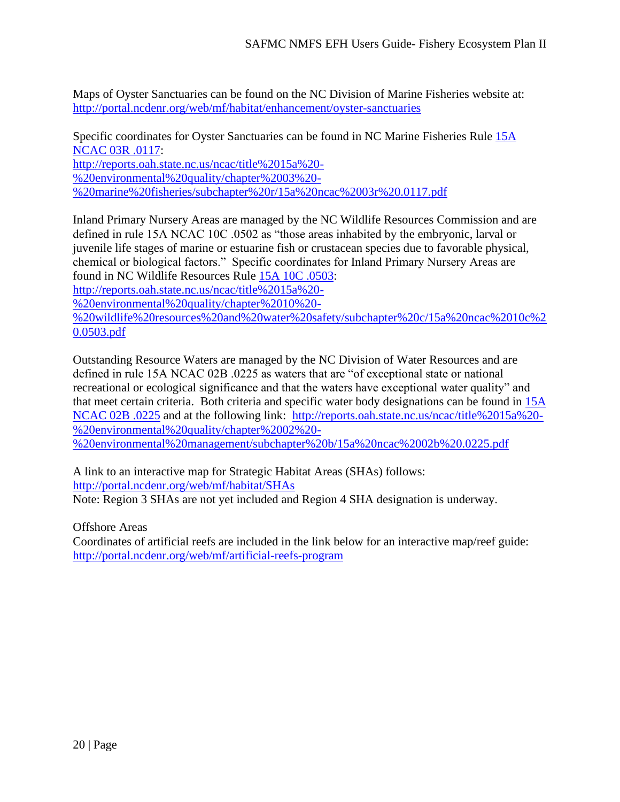Maps of Oyster Sanctuaries can be found on the NC Division of Marine Fisheries website at: <http://portal.ncdenr.org/web/mf/habitat/enhancement/oyster-sanctuaries>

Specific coordinates for Oyster Sanctuaries can be found in NC Marine Fisheries Rule [15A](http://reports.oah.state.nc.us/ncac/title%2015a%20-%20environmental%20quality/chapter%2003%20-%20marine%20fisheries/subchapter%20r/15a%20ncac%2003r%20.0117.pdf)  [NCAC 03R .0117:](http://reports.oah.state.nc.us/ncac/title%2015a%20-%20environmental%20quality/chapter%2003%20-%20marine%20fisheries/subchapter%20r/15a%20ncac%2003r%20.0117.pdf) [http://reports.oah.state.nc.us/ncac/title%2015a%20-](http://reports.oah.state.nc.us/ncac/title%2015a%20-%20environmental%20quality/chapter%2003%20-%20marine%20fisheries/subchapter%20r/15a%20ncac%2003r%20.0117.pdf) [%20environmental%20quality/chapter%2003%20-](http://reports.oah.state.nc.us/ncac/title%2015a%20-%20environmental%20quality/chapter%2003%20-%20marine%20fisheries/subchapter%20r/15a%20ncac%2003r%20.0117.pdf) [%20marine%20fisheries/subchapter%20r/15a%20ncac%2003r%20.0117.pdf](http://reports.oah.state.nc.us/ncac/title%2015a%20-%20environmental%20quality/chapter%2003%20-%20marine%20fisheries/subchapter%20r/15a%20ncac%2003r%20.0117.pdf)

Inland Primary Nursery Areas are managed by the NC Wildlife Resources Commission and are defined in rule 15A NCAC 10C .0502 as "those areas inhabited by the embryonic, larval or juvenile life stages of marine or estuarine fish or crustacean species due to favorable physical, chemical or biological factors." Specific coordinates for Inland Primary Nursery Areas are found in NC Wildlife Resources Rule [15A 10C .0503:](http://reports.oah.state.nc.us/ncac/title%2015a%20-%20environmental%20quality/chapter%2010%20-%20wildlife%20resources%20and%20water%20safety/subchapter%20c/15a%20ncac%2010c%20.0503.pdf)

[http://reports.oah.state.nc.us/ncac/title%2015a%20-](http://reports.oah.state.nc.us/ncac/title%2015a%20-%20environmental%20quality/chapter%2010%20-%20wildlife%20resources%20and%20water%20safety/subchapter%20c/15a%20ncac%2010c%20.0503.pdf)

[%20environmental%20quality/chapter%2010%20-](http://reports.oah.state.nc.us/ncac/title%2015a%20-%20environmental%20quality/chapter%2010%20-%20wildlife%20resources%20and%20water%20safety/subchapter%20c/15a%20ncac%2010c%20.0503.pdf)

[%20wildlife%20resources%20and%20water%20safety/subchapter%20c/15a%20ncac%2010c%2](http://reports.oah.state.nc.us/ncac/title%2015a%20-%20environmental%20quality/chapter%2010%20-%20wildlife%20resources%20and%20water%20safety/subchapter%20c/15a%20ncac%2010c%20.0503.pdf) [0.0503.pdf](http://reports.oah.state.nc.us/ncac/title%2015a%20-%20environmental%20quality/chapter%2010%20-%20wildlife%20resources%20and%20water%20safety/subchapter%20c/15a%20ncac%2010c%20.0503.pdf)

Outstanding Resource Waters are managed by the NC Division of Water Resources and are defined in rule 15A NCAC 02B .0225 as waters that are "of exceptional state or national recreational or ecological significance and that the waters have exceptional water quality" and that meet certain criteria. Both criteria and specific water body designations can be found in [15A](http://reports.oah.state.nc.us/ncac/title%2015a%20-%20environmental%20quality/chapter%2002%20-%20environmental%20management/subchapter%20b/15a%20ncac%2002b%20.0225.pdf)  [NCAC 02B .0225](http://reports.oah.state.nc.us/ncac/title%2015a%20-%20environmental%20quality/chapter%2002%20-%20environmental%20management/subchapter%20b/15a%20ncac%2002b%20.0225.pdf) and at the following link: [http://reports.oah.state.nc.us/ncac/title%2015a%20-](http://reports.oah.state.nc.us/ncac/title%2015a%20-%20environmental%20quality/chapter%2002%20-%20environmental%20management/subchapter%20b/15a%20ncac%2002b%20.0225.pdf) [%20environmental%20quality/chapter%2002%20-](http://reports.oah.state.nc.us/ncac/title%2015a%20-%20environmental%20quality/chapter%2002%20-%20environmental%20management/subchapter%20b/15a%20ncac%2002b%20.0225.pdf) [%20environmental%20management/subchapter%20b/15a%20ncac%2002b%20.0225.pdf](http://reports.oah.state.nc.us/ncac/title%2015a%20-%20environmental%20quality/chapter%2002%20-%20environmental%20management/subchapter%20b/15a%20ncac%2002b%20.0225.pdf)

A link to an interactive map for Strategic Habitat Areas (SHAs) follows: <http://portal.ncdenr.org/web/mf/habitat/SHAs> Note: Region 3 SHAs are not yet included and Region 4 SHA designation is underway.

Offshore Areas

Coordinates of artificial reefs are included in the link below for an interactive map/reef guide: <http://portal.ncdenr.org/web/mf/artificial-reefs-program>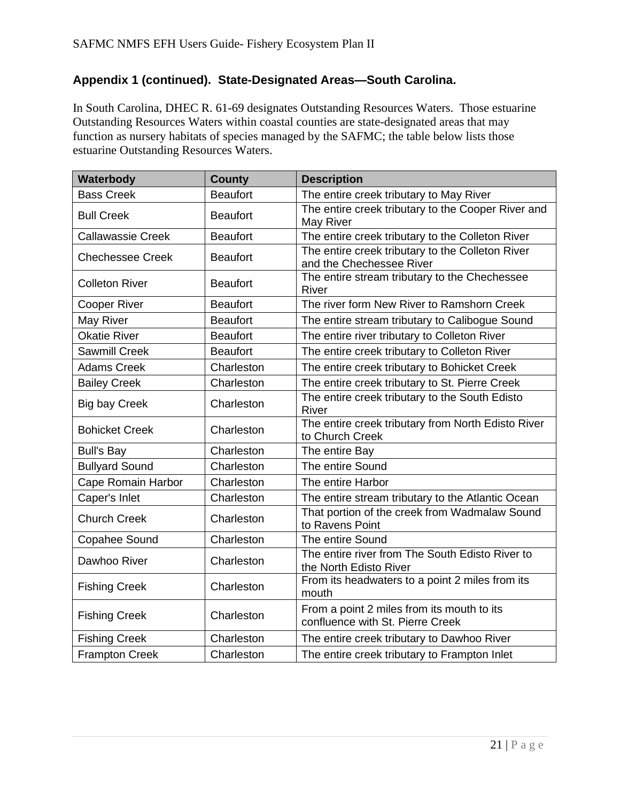# **Appendix 1 (continued). State-Designated Areas—South Carolina.**

In South Carolina, DHEC R. 61-69 designates Outstanding Resources Waters. Those estuarine Outstanding Resources Waters within coastal counties are state-designated areas that may function as nursery habitats of species managed by the SAFMC; the table below lists those estuarine Outstanding Resources Waters.

| Waterbody                | <b>County</b>   | <b>Description</b>                                                             |
|--------------------------|-----------------|--------------------------------------------------------------------------------|
| <b>Bass Creek</b>        | <b>Beaufort</b> | The entire creek tributary to May River                                        |
| <b>Bull Creek</b>        | <b>Beaufort</b> | The entire creek tributary to the Cooper River and<br>May River                |
| <b>Callawassie Creek</b> | <b>Beaufort</b> | The entire creek tributary to the Colleton River                               |
| <b>Chechessee Creek</b>  | <b>Beaufort</b> | The entire creek tributary to the Colleton River<br>and the Chechessee River   |
| <b>Colleton River</b>    | <b>Beaufort</b> | The entire stream tributary to the Chechessee<br>River                         |
| <b>Cooper River</b>      | <b>Beaufort</b> | The river form New River to Ramshorn Creek                                     |
| May River                | <b>Beaufort</b> | The entire stream tributary to Calibogue Sound                                 |
| <b>Okatie River</b>      | <b>Beaufort</b> | The entire river tributary to Colleton River                                   |
| <b>Sawmill Creek</b>     | <b>Beaufort</b> | The entire creek tributary to Colleton River                                   |
| <b>Adams Creek</b>       | Charleston      | The entire creek tributary to Bohicket Creek                                   |
| <b>Bailey Creek</b>      | Charleston      | The entire creek tributary to St. Pierre Creek                                 |
| <b>Big bay Creek</b>     | Charleston      | The entire creek tributary to the South Edisto<br>River                        |
| <b>Bohicket Creek</b>    | Charleston      | The entire creek tributary from North Edisto River<br>to Church Creek          |
| <b>Bull's Bay</b>        | Charleston      | The entire Bay                                                                 |
| <b>Bullyard Sound</b>    | Charleston      | The entire Sound                                                               |
| Cape Romain Harbor       | Charleston      | The entire Harbor                                                              |
| Caper's Inlet            | Charleston      | The entire stream tributary to the Atlantic Ocean                              |
| <b>Church Creek</b>      | Charleston      | That portion of the creek from Wadmalaw Sound<br>to Ravens Point               |
| Copahee Sound            | Charleston      | The entire Sound                                                               |
| Dawhoo River             | Charleston      | The entire river from The South Edisto River to<br>the North Edisto River      |
| <b>Fishing Creek</b>     | Charleston      | From its headwaters to a point 2 miles from its<br>mouth                       |
| <b>Fishing Creek</b>     | Charleston      | From a point 2 miles from its mouth to its<br>confluence with St. Pierre Creek |
| <b>Fishing Creek</b>     | Charleston      | The entire creek tributary to Dawhoo River                                     |
| <b>Frampton Creek</b>    | Charleston      | The entire creek tributary to Frampton Inlet                                   |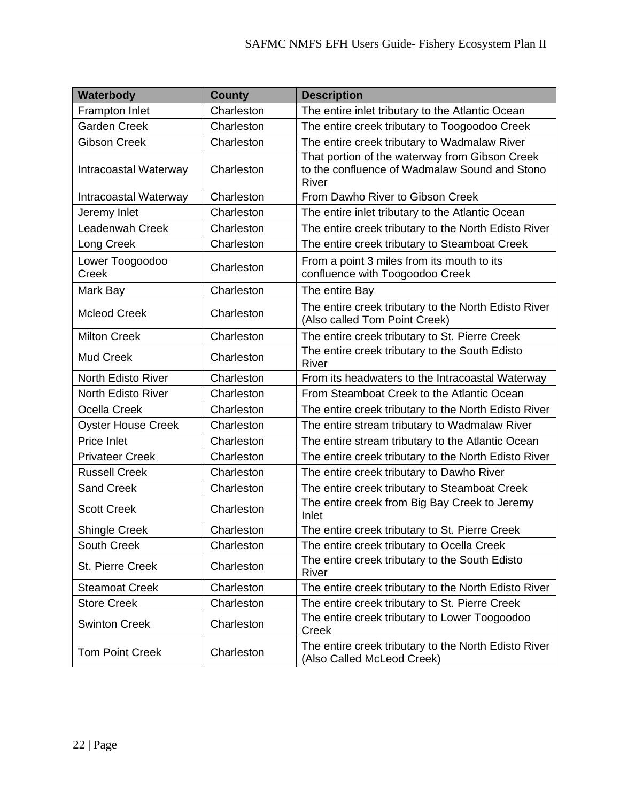| Waterbody                 | <b>County</b> | <b>Description</b>                                                                                       |
|---------------------------|---------------|----------------------------------------------------------------------------------------------------------|
| Frampton Inlet            | Charleston    | The entire inlet tributary to the Atlantic Ocean                                                         |
| <b>Garden Creek</b>       | Charleston    | The entire creek tributary to Toogoodoo Creek                                                            |
| <b>Gibson Creek</b>       | Charleston    | The entire creek tributary to Wadmalaw River                                                             |
| Intracoastal Waterway     | Charleston    | That portion of the waterway from Gibson Creek<br>to the confluence of Wadmalaw Sound and Stono<br>River |
| Intracoastal Waterway     | Charleston    | From Dawho River to Gibson Creek                                                                         |
| Jeremy Inlet              | Charleston    | The entire inlet tributary to the Atlantic Ocean                                                         |
| <b>Leadenwah Creek</b>    | Charleston    | The entire creek tributary to the North Edisto River                                                     |
| Long Creek                | Charleston    | The entire creek tributary to Steamboat Creek                                                            |
| Lower Toogoodoo<br>Creek  | Charleston    | From a point 3 miles from its mouth to its<br>confluence with Toogoodoo Creek                            |
| Mark Bay                  | Charleston    | The entire Bay                                                                                           |
| <b>Mcleod Creek</b>       | Charleston    | The entire creek tributary to the North Edisto River<br>(Also called Tom Point Creek)                    |
| <b>Milton Creek</b>       | Charleston    | The entire creek tributary to St. Pierre Creek                                                           |
| <b>Mud Creek</b>          | Charleston    | The entire creek tributary to the South Edisto<br>River                                                  |
| <b>North Edisto River</b> | Charleston    | From its headwaters to the Intracoastal Waterway                                                         |
| <b>North Edisto River</b> | Charleston    | From Steamboat Creek to the Atlantic Ocean                                                               |
| <b>Ocella Creek</b>       | Charleston    | The entire creek tributary to the North Edisto River                                                     |
| <b>Oyster House Creek</b> | Charleston    | The entire stream tributary to Wadmalaw River                                                            |
| Price Inlet               | Charleston    | The entire stream tributary to the Atlantic Ocean                                                        |
| <b>Privateer Creek</b>    | Charleston    | The entire creek tributary to the North Edisto River                                                     |
| <b>Russell Creek</b>      | Charleston    | The entire creek tributary to Dawho River                                                                |
| <b>Sand Creek</b>         | Charleston    | The entire creek tributary to Steamboat Creek                                                            |
| <b>Scott Creek</b>        | Charleston    | The entire creek from Big Bay Creek to Jeremy<br>Inlet                                                   |
| <b>Shingle Creek</b>      | Charleston    | The entire creek tributary to St. Pierre Creek                                                           |
| <b>South Creek</b>        | Charleston    | The entire creek tributary to Ocella Creek                                                               |
| <b>St. Pierre Creek</b>   | Charleston    | The entire creek tributary to the South Edisto<br>River                                                  |
| <b>Steamoat Creek</b>     | Charleston    | The entire creek tributary to the North Edisto River                                                     |
| <b>Store Creek</b>        | Charleston    | The entire creek tributary to St. Pierre Creek                                                           |
| <b>Swinton Creek</b>      | Charleston    | The entire creek tributary to Lower Toogoodoo<br>Creek                                                   |
| <b>Tom Point Creek</b>    | Charleston    | The entire creek tributary to the North Edisto River<br>(Also Called McLeod Creek)                       |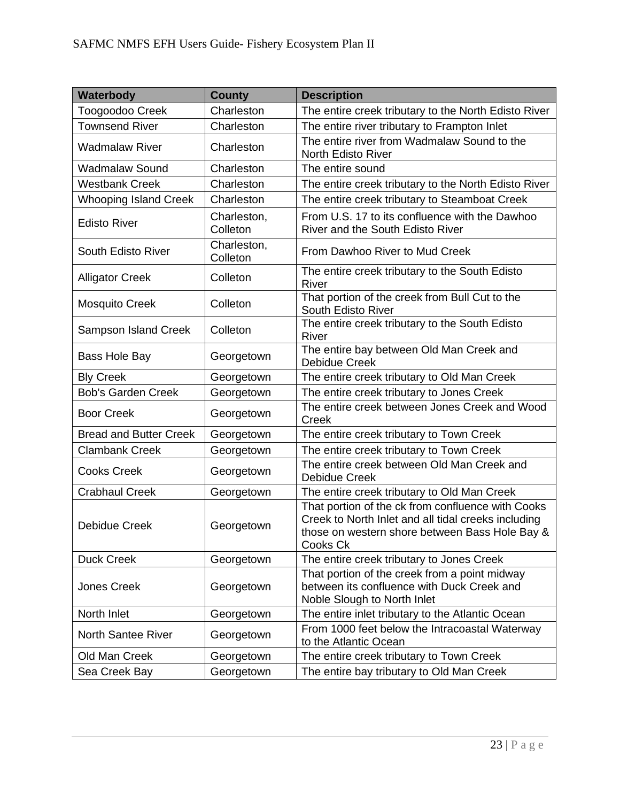| Waterbody                     | <b>County</b>           | <b>Description</b>                                                                                                                                                     |
|-------------------------------|-------------------------|------------------------------------------------------------------------------------------------------------------------------------------------------------------------|
| Toogoodoo Creek               | Charleston              | The entire creek tributary to the North Edisto River                                                                                                                   |
| <b>Townsend River</b>         | Charleston              | The entire river tributary to Frampton Inlet                                                                                                                           |
| <b>Wadmalaw River</b>         | Charleston              | The entire river from Wadmalaw Sound to the<br><b>North Edisto River</b>                                                                                               |
| <b>Wadmalaw Sound</b>         | Charleston              | The entire sound                                                                                                                                                       |
| <b>Westbank Creek</b>         | Charleston              | The entire creek tributary to the North Edisto River                                                                                                                   |
| <b>Whooping Island Creek</b>  | Charleston              | The entire creek tributary to Steamboat Creek                                                                                                                          |
| <b>Edisto River</b>           | Charleston,<br>Colleton | From U.S. 17 to its confluence with the Dawhoo<br>River and the South Edisto River                                                                                     |
| <b>South Edisto River</b>     | Charleston,<br>Colleton | From Dawhoo River to Mud Creek                                                                                                                                         |
| <b>Alligator Creek</b>        | Colleton                | The entire creek tributary to the South Edisto<br>River                                                                                                                |
| <b>Mosquito Creek</b>         | Colleton                | That portion of the creek from Bull Cut to the<br>South Edisto River                                                                                                   |
| <b>Sampson Island Creek</b>   | Colleton                | The entire creek tributary to the South Edisto<br>River                                                                                                                |
| Bass Hole Bay                 | Georgetown              | The entire bay between Old Man Creek and<br><b>Debidue Creek</b>                                                                                                       |
| <b>Bly Creek</b>              | Georgetown              | The entire creek tributary to Old Man Creek                                                                                                                            |
| <b>Bob's Garden Creek</b>     | Georgetown              | The entire creek tributary to Jones Creek                                                                                                                              |
| <b>Boor Creek</b>             | Georgetown              | The entire creek between Jones Creek and Wood<br>Creek                                                                                                                 |
| <b>Bread and Butter Creek</b> | Georgetown              | The entire creek tributary to Town Creek                                                                                                                               |
| <b>Clambank Creek</b>         | Georgetown              | The entire creek tributary to Town Creek                                                                                                                               |
| <b>Cooks Creek</b>            | Georgetown              | The entire creek between Old Man Creek and<br><b>Debidue Creek</b>                                                                                                     |
| <b>Crabhaul Creek</b>         | Georgetown              | The entire creek tributary to Old Man Creek                                                                                                                            |
| <b>Debidue Creek</b>          | Georgetown              | That portion of the ck from confluence with Cooks<br>Creek to North Inlet and all tidal creeks including<br>those on western shore between Bass Hole Bay &<br>Cooks Ck |
| <b>Duck Creek</b>             | Georgetown              | The entire creek tributary to Jones Creek                                                                                                                              |
| <b>Jones Creek</b>            | Georgetown              | That portion of the creek from a point midway<br>between its confluence with Duck Creek and<br>Noble Slough to North Inlet                                             |
| North Inlet                   | Georgetown              | The entire inlet tributary to the Atlantic Ocean                                                                                                                       |
| <b>North Santee River</b>     | Georgetown              | From 1000 feet below the Intracoastal Waterway<br>to the Atlantic Ocean                                                                                                |
| Old Man Creek                 | Georgetown              | The entire creek tributary to Town Creek                                                                                                                               |
| Sea Creek Bay                 | Georgetown              | The entire bay tributary to Old Man Creek                                                                                                                              |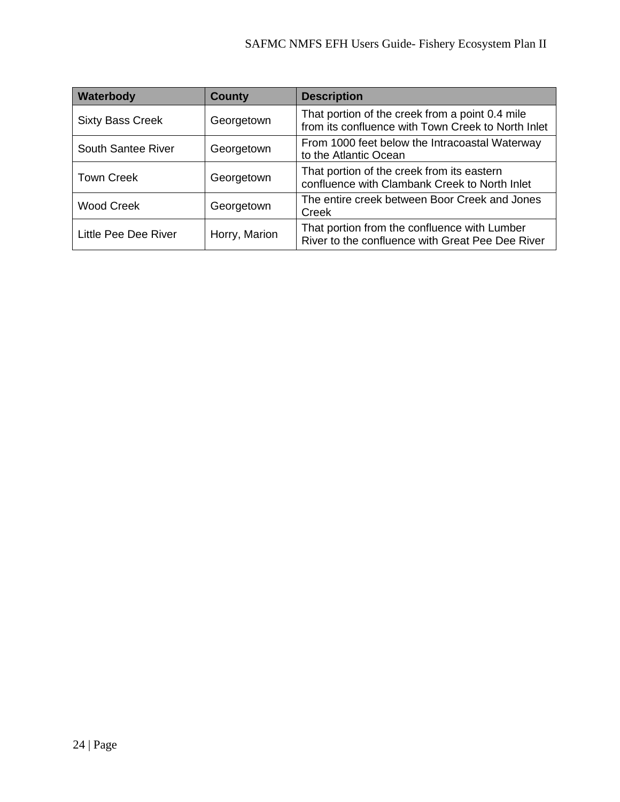| Waterbody               | <b>County</b> | <b>Description</b>                                                                                    |
|-------------------------|---------------|-------------------------------------------------------------------------------------------------------|
| <b>Sixty Bass Creek</b> | Georgetown    | That portion of the creek from a point 0.4 mile<br>from its confluence with Town Creek to North Inlet |
| South Santee River      | Georgetown    | From 1000 feet below the Intracoastal Waterway<br>to the Atlantic Ocean                               |
| <b>Town Creek</b>       | Georgetown    | That portion of the creek from its eastern<br>confluence with Clambank Creek to North Inlet           |
| <b>Wood Creek</b>       | Georgetown    | The entire creek between Boor Creek and Jones<br>Creek                                                |
| Little Pee Dee River    | Horry, Marion | That portion from the confluence with Lumber<br>River to the confluence with Great Pee Dee River      |